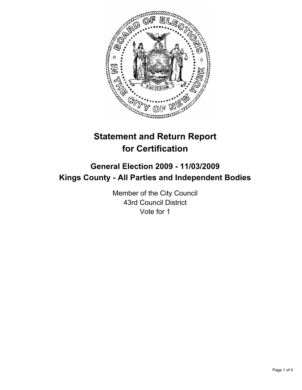

# **Statement and Return Report for Certification**

## **General Election 2009 - 11/03/2009 Kings County - All Parties and Independent Bodies**

Member of the City Council 43rd Council District Vote for 1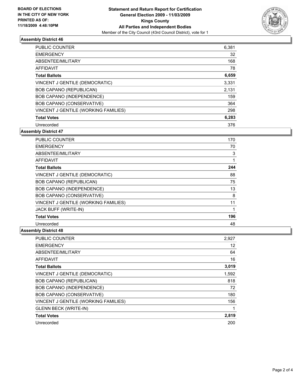

### **Assembly District 46**

| <b>PUBLIC COUNTER</b>                | 6,381 |
|--------------------------------------|-------|
| <b>EMERGENCY</b>                     | 32    |
| ABSENTEE/MILITARY                    | 168   |
| AFFIDAVIT                            | 78    |
| <b>Total Ballots</b>                 | 6,659 |
| VINCENT J GENTILE (DEMOCRATIC)       | 3,331 |
| BOB CAPANO (REPUBLICAN)              | 2,131 |
| <b>BOB CAPANO (INDEPENDENCE)</b>     | 159   |
| BOB CAPANO (CONSERVATIVE)            | 364   |
| VINCENT J GENTILE (WORKING FAMILIES) | 298   |
| <b>Total Votes</b>                   | 6,283 |
| Unrecorded                           | 376   |

**Assembly District 47**

| <b>PUBLIC COUNTER</b>                | 170 |
|--------------------------------------|-----|
| <b>EMERGENCY</b>                     | 70  |
| ABSENTEE/MILITARY                    | 3   |
| <b>AFFIDAVIT</b>                     | 1   |
| <b>Total Ballots</b>                 | 244 |
| VINCENT J GENTILE (DEMOCRATIC)       | 88  |
| <b>BOB CAPANO (REPUBLICAN)</b>       | 75  |
| BOB CAPANO (INDEPENDENCE)            | 13  |
| BOB CAPANO (CONSERVATIVE)            | 8   |
| VINCENT J GENTILE (WORKING FAMILIES) | 11  |
| JACK BUFF (WRITE-IN)                 | 1   |
| <b>Total Votes</b>                   | 196 |
| Unrecorded                           | 48  |

#### **Assembly District 48**

| <b>PUBLIC COUNTER</b>                       | 2,927 |
|---------------------------------------------|-------|
| <b>EMERGENCY</b>                            | 12    |
| ABSENTEE/MILITARY                           | 64    |
| <b>AFFIDAVIT</b>                            | 16    |
| <b>Total Ballots</b>                        | 3,019 |
| VINCENT J GENTILE (DEMOCRATIC)              | 1,592 |
| <b>BOB CAPANO (REPUBLICAN)</b>              | 818   |
| BOB CAPANO (INDEPENDENCE)                   | 72    |
| BOB CAPANO (CONSERVATIVE)                   | 180   |
| <b>VINCENT J GENTILE (WORKING FAMILIES)</b> | 156   |
| <b>GLENN BECK (WRITE-IN)</b>                | 1     |
| <b>Total Votes</b>                          | 2,819 |
| Unrecorded                                  | 200   |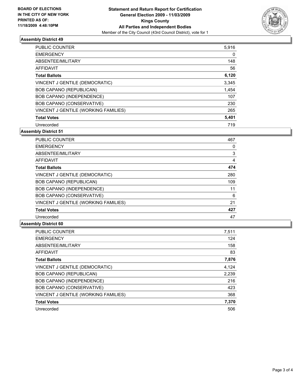

#### **Assembly District 49**

| <b>PUBLIC COUNTER</b>                | 5,916 |
|--------------------------------------|-------|
| <b>EMERGENCY</b>                     | 0     |
| ABSENTEE/MILITARY                    | 148   |
| AFFIDAVIT                            | 56    |
| <b>Total Ballots</b>                 | 6,120 |
| VINCENT J GENTILE (DEMOCRATIC)       | 3,345 |
| BOB CAPANO (REPUBLICAN)              | 1,454 |
| BOB CAPANO (INDEPENDENCE)            | 107   |
| BOB CAPANO (CONSERVATIVE)            | 230   |
| VINCENT J GENTILE (WORKING FAMILIES) | 265   |
| <b>Total Votes</b>                   | 5,401 |
| Unrecorded                           | 719   |

**Assembly District 51**

| <b>PUBLIC COUNTER</b>                       | 467 |
|---------------------------------------------|-----|
| <b>EMERGENCY</b>                            | 0   |
| ABSENTEE/MILITARY                           | 3   |
| <b>AFFIDAVIT</b>                            | 4   |
| <b>Total Ballots</b>                        | 474 |
| VINCENT J GENTILE (DEMOCRATIC)              | 280 |
| <b>BOB CAPANO (REPUBLICAN)</b>              | 109 |
| BOB CAPANO (INDEPENDENCE)                   | 11  |
| BOB CAPANO (CONSERVATIVE)                   | 6   |
| <b>VINCENT J GENTILE (WORKING FAMILIES)</b> | 21  |
| <b>Total Votes</b>                          | 427 |
| Unrecorded                                  | 47  |

#### **Assembly District 60**

| <b>PUBLIC COUNTER</b>                | 7,511 |
|--------------------------------------|-------|
| <b>EMERGENCY</b>                     | 124   |
| ABSENTEE/MILITARY                    | 158   |
| <b>AFFIDAVIT</b>                     | 83    |
| <b>Total Ballots</b>                 | 7,876 |
| VINCENT J GENTILE (DEMOCRATIC)       | 4,124 |
| <b>BOB CAPANO (REPUBLICAN)</b>       | 2,239 |
| <b>BOB CAPANO (INDEPENDENCE)</b>     | 216   |
| BOB CAPANO (CONSERVATIVE)            | 423   |
| VINCENT J GENTILE (WORKING FAMILIES) | 368   |
| <b>Total Votes</b>                   | 7,370 |
| Unrecorded                           | 506   |